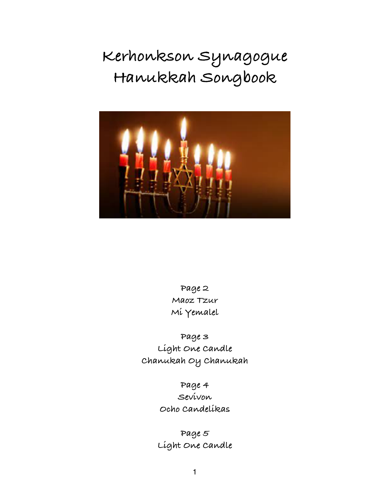# **Kerhonkson Synagogue Hanukkah Songbook**



**Page 2 Maoz Tzur Mi Yemalel**

**Page 3 Light One Candle Chanukah Oy Chanukah**

> **Page 4 Sevivon Ocho Candelikas**

**Page 5 Light One Candle**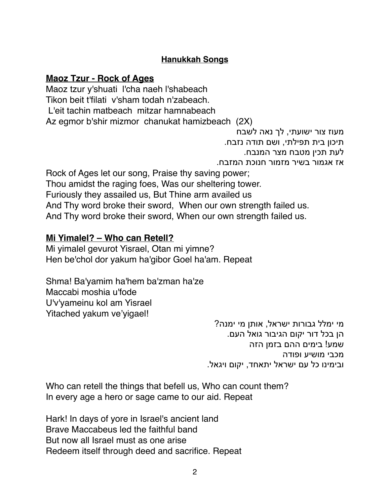#### **Hanukkah Songs**

#### **Maoz Tzur - Rock of Ages**

Maoz tzur y'shuati l'cha naeh l'shabeach Tikon beit t'filati v'sham todah n'zabeach. L'eit tachin matbeach mitzar hamnabeach Az egmor b'shir mizmor chanukat hamizbeach (2X)

מעוז צור ישועתי, לך נאה לשבח

תיכון בית תפילתי, ושם תודה נזבח.

לעת תכין מטבח מצר המנבח.

אז אגמור בשיר מזמור חנוכת המזבח.

Rock of Ages let our song, Praise thy saving power; Thou amidst the raging foes, Was our sheltering tower. Furiously they assailed us, But Thine arm availed us And Thy word broke their sword, When our own strength failed us. And Thy word broke their sword, When our own strength failed us.

#### **Mi Yimalel? – Who can Retell?**

Mi yimalel gevurot Yisrael, Otan mi yimne? Hen be'chol dor yakum ha'gibor Goel ha'am. Repeat

Shma! Ba'yamim ha'hem ba'zman ha'ze Maccabi moshia u'fode U'v'yameinu kol am Yisrael Yitached yakum ve'yigael!

> מי ימלל גבורות ישראל, אותן מי ימנה? הן בכל דור יקום הגיבור גואל העם. שמע! בימים ההם בזמן הזה מכבי מושיע ופודה ובימינו כל עם ישראל יתאחד, יקום ויגאל.

Who can retell the things that befell us, Who can count them? In every age a hero or sage came to our aid. Repeat

Hark! In days of yore in Israel's ancient land Brave Maccabeus led the faithful band But now all Israel must as one arise Redeem itself through deed and sacrifice. Repeat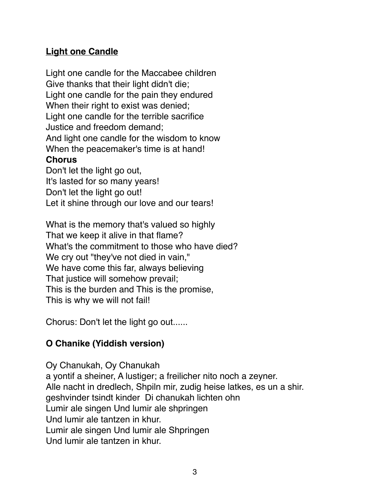# **Light one Candle**

Light one candle for the Maccabee children Give thanks that their light didn't die; Light one candle for the pain they endured When their right to exist was denied; Light one candle for the terrible sacrifice Justice and freedom demand; And light one candle for the wisdom to know When the peacemaker's time is at hand! **Chorus**  Don't let the light go out,

It's lasted for so many years! Don't let the light go out! Let it shine through our love and our tears!

What is the memory that's valued so highly That we keep it alive in that flame? What's the commitment to those who have died? We cry out "they've not died in vain," We have come this far, always believing That justice will somehow prevail; This is the burden and This is the promise, This is why we will not fail!

Chorus: Don't let the light go out......

# **O Chanike (Yiddish version)**

Oy Chanukah, Oy Chanukah a yontif a sheiner, A lustiger; a freilicher nito noch a zeyner. Alle nacht in dredlech, Shpiln mir, zudig heise latkes, es un a shir. geshvinder tsindt kinder Di chanukah lichten ohn Lumir ale singen Und lumir ale shpringen Und lumir ale tantzen in khur. Lumir ale singen Und lumir ale Shpringen Und lumir ale tantzen in khur.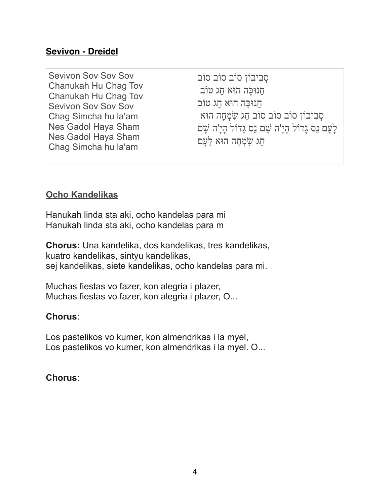#### **Sevivon - Dreidel**

| Chag Simcha hu la'am |
|----------------------|
|----------------------|

#### **Ocho Kandelikas**

Hanukah linda sta aki, ocho kandelas para mi Hanukah linda sta aki, ocho kandelas para m

**Chorus:** Una kandelika, dos kandelikas, tres kandelikas, kuatro kandelikas, sintyu kandelikas, sej kandelikas, siete kandelikas, ocho kandelas para mi.

Muchas fiestas vo fazer, kon alegria i plazer, Muchas fiestas vo fazer, kon alegria i plazer, O...

#### **Chorus**:

Los pastelikos vo kumer, kon almendrikas i la myel, Los pastelikos vo kumer, kon almendrikas i la myel. O...

#### **Chorus**: